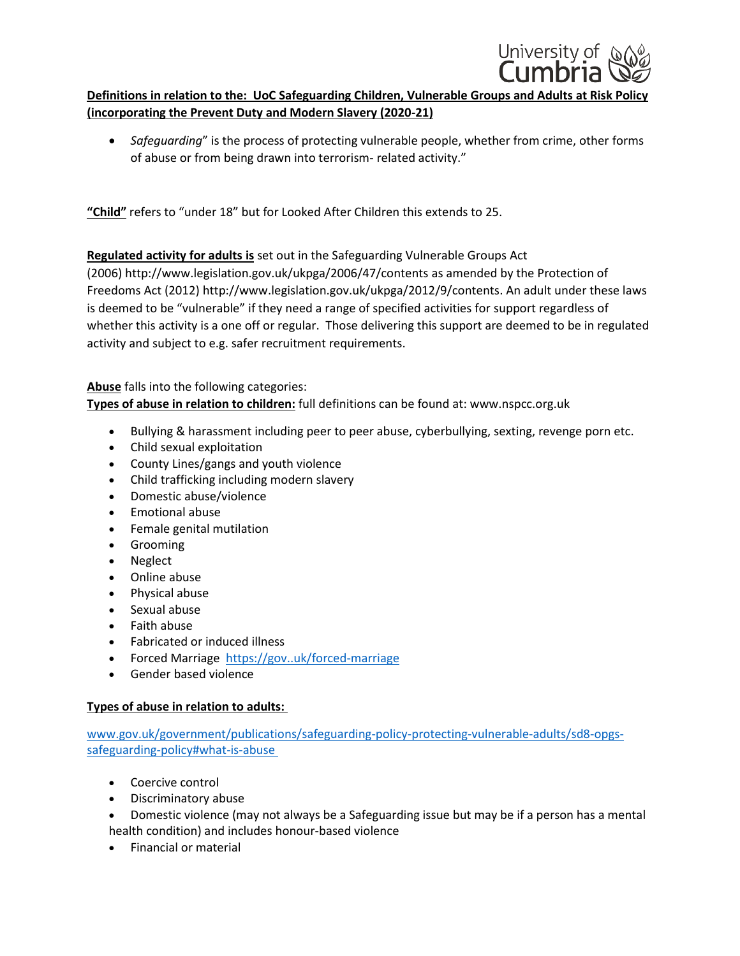

## **Definitions in relation to the: UoC Safeguarding Children, Vulnerable Groups and Adults at Risk Policy (incorporating the Prevent Duty and Modern Slavery (2020-21)**

 *Safeguarding*" is the process of protecting vulnerable people, whether from crime, other forms of abuse or from being drawn into terrorism- related activity."

**"Child"** refers to "under 18" but for Looked After Children this extends to 25.

**Regulated activity for adults is** set out in the Safeguarding Vulnerable Groups Act (2006) <http://www.legislation.gov.uk/ukpga/2006/47/contents> as amended by the Protection of Freedoms Act (2012) [http://www.legislation.gov.uk/ukpga/2012/9/contents.](http://www.legislation.gov.uk/ukpga/2012/9/contents) An adult under these laws is deemed to be "vulnerable" if they need a range of specified activities for support regardless of whether this activity is a one off or regular. Those delivering this support are deemed to be in regulated activity and subject to e.g. safer recruitment requirements.

**Abuse** falls into the following categories: **Types of abuse in relation to children:** full definitions can be found at: www.nspcc.org.uk

- Bullying & harassment including peer to peer abuse, cyberbullying, sexting, revenge porn etc.
- Child sexual exploitation
- County Lines/gangs and youth violence
- Child trafficking including modern slavery
- Domestic abuse/violence
- Emotional abuse
- Female genital mutilation
- Grooming
- Neglect
- Online abuse
- Physical abuse
- Sexual abuse
- Faith abuse
- Fabricated or induced illness
- Forced Marriage https://gov..uk/forced-marriage
- Gender based violence

## **Types of abuse in relation to adults:**

[www.gov.uk/government/publications/safeguarding-policy-protecting-vulnerable-adults/sd8-opgs](http://www.gov.uk/government/publications/safeguarding-policy-protecting-vulnerable-adults/sd8-opgs-safeguarding-policy#what-is-abuse )[safeguarding-policy#what-is-abuse](http://www.gov.uk/government/publications/safeguarding-policy-protecting-vulnerable-adults/sd8-opgs-safeguarding-policy#what-is-abuse )

- Coercive control
- Discriminatory abuse
- Domestic violence (may not always be a Safeguarding issue but may be if a person has a mental health condition) and includes honour-based violence
- Financial or material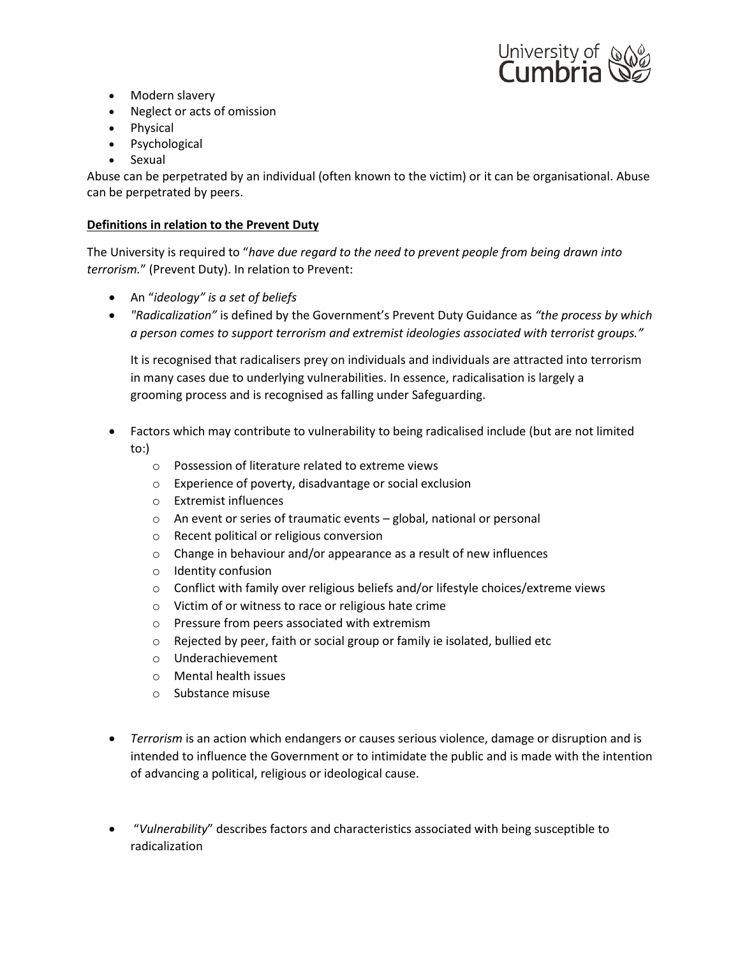

- Modern slavery
- Neglect or acts of omission
- Physical
- Psychological
- Sexual

Abuse can be perpetrated by an individual (often known to the victim) or it can be organisational. Abuse can be perpetrated by peers.

## **Definitions in relation to the Prevent Duty**

The University is required to "*have due regard to the need to prevent people from being drawn into terrorism.*" (Prevent Duty). In relation to Prevent:

- An "*ideology" is a set of beliefs*
- *"Radicalization"* is defined by the Government's Prevent Duty Guidance as *"the process by which a person comes to support terrorism and extremist ideologies associated with terrorist groups."*

It is recognised that radicalisers prey on individuals and individuals are attracted into terrorism in many cases due to underlying vulnerabilities. In essence, radicalisation is largely a grooming process and is recognised as falling under Safeguarding.

- Factors which may contribute to vulnerability to being radicalised include (but are not limited to:)
	- o Possession of literature related to extreme views
	- o Experience of poverty, disadvantage or social exclusion
	- o Extremist influences
	- o An event or series of traumatic events global, national or personal
	- o Recent political or religious conversion
	- o Change in behaviour and/or appearance as a result of new influences
	- o Identity confusion
	- $\circ$  Conflict with family over religious beliefs and/or lifestyle choices/extreme views
	- o Victim of or witness to race or religious hate crime
	- o Pressure from peers associated with extremism
	- o Rejected by peer, faith or social group or family ie isolated, bullied etc
	- o Underachievement
	- o Mental health issues
	- o Substance misuse
- *Terrorism* is an action which endangers or causes serious violence, damage or disruption and is intended to influence the Government or to intimidate the public and is made with the intention of advancing a political, religious or ideological cause.
- "*Vulnerability*" describes factors and characteristics associated with being susceptible to radicalization